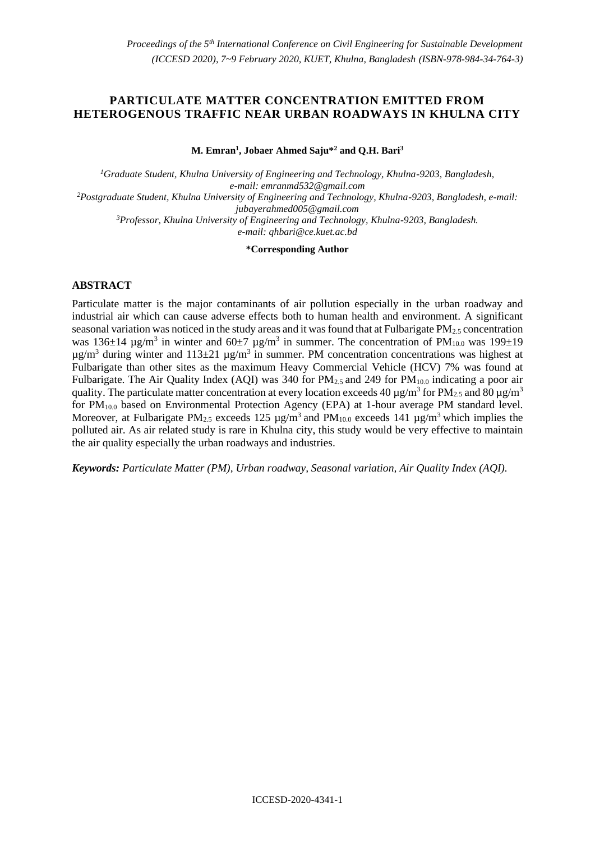# **PARTICULATE MATTER CONCENTRATION EMITTED FROM HETEROGENOUS TRAFFIC NEAR URBAN ROADWAYS IN KHULNA CITY**

**M. Emran<sup>1</sup> , Jobaer Ahmed Saju\*<sup>2</sup> and Q.H. Bari<sup>3</sup>**

*<sup>1</sup>Graduate Student, Khulna University of Engineering and Technology, Khulna-9203, Bangladesh, e-mail: emranmd532@gmail.com <sup>2</sup>Postgraduate Student, Khulna University of Engineering and Technology, Khulna-9203, Bangladesh, e-mail: jubayerahmed005@gmail.com <sup>3</sup>Professor, Khulna University of Engineering and Technology, Khulna-9203, Bangladesh. e-mail: qhbari@ce.kuet.ac.bd*

**\*Corresponding Author**

# **ABSTRACT**

Particulate matter is the major contaminants of air pollution especially in the urban roadway and industrial air which can cause adverse effects both to human health and environment. A significant seasonal variation was noticed in the study areas and it was found that at Fulbarigate  $PM_{2.5}$  concentration was 136 $\pm$ 14 µg/m<sup>3</sup> in winter and 60 $\pm$ 7 µg/m<sup>3</sup> in summer. The concentration of PM<sub>10.0</sub> was 199 $\pm$ 19  $\mu$ g/m<sup>3</sup> during winter and 113 $\pm$ 21  $\mu$ g/m<sup>3</sup> in summer. PM concentration concentrations was highest at Fulbarigate than other sites as the maximum Heavy Commercial Vehicle (HCV) 7% was found at Fulbarigate. The Air Quality Index (AQI) was 340 for  $PM_{2.5}$  and 249 for  $PM_{10.0}$  indicating a poor air quality. The particulate matter concentration at every location exceeds 40  $\mu$ g/m<sup>3</sup> for PM<sub>2.5</sub> and 80  $\mu$ g/m<sup>3</sup> for PM<sub>10.0</sub> based on Environmental Protection Agency (EPA) at 1-hour average PM standard level. Moreover, at Fulbarigate PM<sub>2.5</sub> exceeds 125  $\mu$ g/m<sup>3</sup> and PM<sub>10.0</sub> exceeds 141  $\mu$ g/m<sup>3</sup> which implies the polluted air. As air related study is rare in Khulna city, this study would be very effective to maintain the air quality especially the urban roadways and industries.

*Keywords: Particulate Matter (PM), Urban roadway, Seasonal variation, Air Quality Index (AQI).*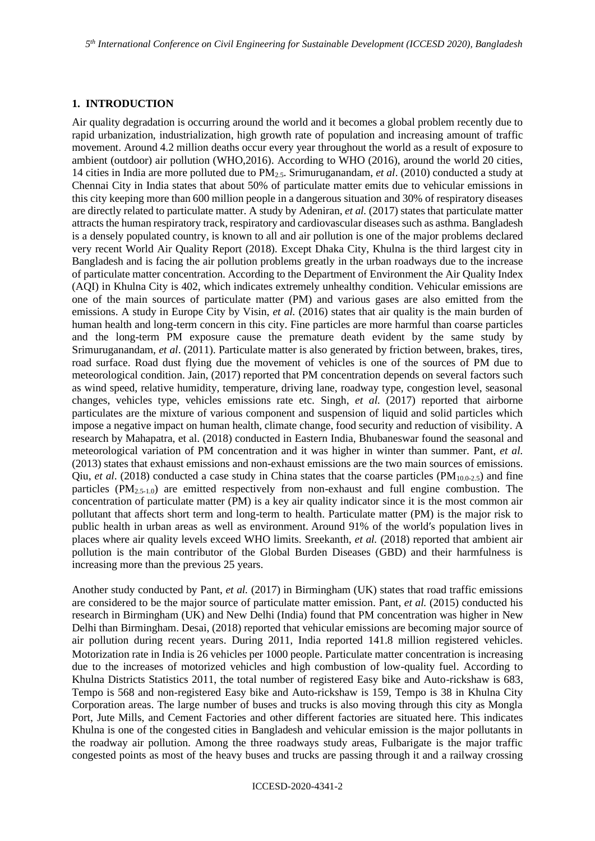# **1. INTRODUCTION**

Air quality degradation is occurring around the world and it becomes a global problem recently due to rapid urbanization, industrialization, high growth rate of population and increasing amount of traffic movement. Around 4.2 million deaths occur every year throughout the world as a result of exposure to ambient (outdoor) air pollution (WHO,2016). According to WHO (2016), around the world 20 cities, 14 cities in India are more polluted due to PM2.5. Srimuruganandam, *et al*. (2010) conducted a study at Chennai City in India states that about 50% of particulate matter emits due to vehicular emissions in this city keeping more than 600 million people in a dangerous situation and 30% of respiratory diseases are directly related to particulate matter. A study by Adeniran, *et al.* (2017) states that particulate matter attracts the human respiratory track, respiratory and cardiovascular diseases such as asthma. Bangladesh is a densely populated country, is known to all and air pollution is one of the major problems declared very recent World Air Quality Report (2018). Except Dhaka City, Khulna is the third largest city in Bangladesh and is facing the air pollution problems greatly in the urban roadways due to the increase of particulate matter concentration. According to the Department of Environment the Air Quality Index (AQI) in Khulna City is 402, which indicates extremely unhealthy condition. Vehicular emissions are one of the main sources of particulate matter (PM) and various gases are also emitted from the emissions. A study in Europe City by Visin, *et al.* (2016) states that air quality is the main burden of human health and long-term concern in this city. Fine particles are more harmful than coarse particles and the long-term PM exposure cause the premature death evident by the same study by Srimuruganandam, *et al*. (2011). Particulate matter is also generated by friction between, brakes, tires, road surface. Road dust flying due the movement of vehicles is one of the sources of PM due to meteorological condition. Jain, (2017) reported that PM concentration depends on several factors such as wind speed, relative humidity, temperature, driving lane, roadway type, congestion level, seasonal changes, vehicles type, vehicles emissions rate etc. Singh, *et al.* (2017) reported that airborne particulates are the mixture of various component and suspension of liquid and solid particles which impose a negative impact on human health, climate change, food security and reduction of visibility. A research by Mahapatra, et al. (2018) conducted in Eastern India, Bhubaneswar found the seasonal and meteorological variation of PM concentration and it was higher in winter than summer. Pant, *et al.*  (2013) states that exhaust emissions and non-exhaust emissions are the two main sources of emissions. Qiu, *et al.* (2018) conducted a case study in China states that the coarse particles (PM<sub>10.0-2.5</sub>) and fine particles  $(PM_{2.5-1.0})$  are emitted respectively from non-exhaust and full engine combustion. The concentration of particulate matter (PM) is a key air quality indicator since it is the most common air pollutant that affects short term and long-term to health. Particulate matter (PM) is the major risk to public health in urban areas as well as environment. Around 91% of the world′s population lives in places where air quality levels exceed WHO limits. Sreekanth, *et al.* (2018) reported that ambient air pollution is the main contributor of the Global Burden Diseases (GBD) and their harmfulness is increasing more than the previous 25 years.

Another study conducted by Pant, *et al.* (2017) in Birmingham (UK) states that road traffic emissions are considered to be the major source of particulate matter emission. Pant, *et al.* (2015) conducted his research in Birmingham (UK) and New Delhi (India) found that PM concentration was higher in New Delhi than Birmingham. Desai, (2018) reported that vehicular emissions are becoming major source of air pollution during recent years. During 2011, India reported 141.8 million registered vehicles. Motorization rate in India is 26 vehicles per 1000 people. Particulate matter concentration is increasing due to the increases of motorized vehicles and high combustion of low-quality fuel. According to Khulna Districts Statistics 2011, the total number of registered Easy bike and Auto-rickshaw is 683, Tempo is 568 and non-registered Easy bike and Auto-rickshaw is 159, Tempo is 38 in Khulna City Corporation areas. The large number of buses and trucks is also moving through this city as Mongla Port, Jute Mills, and Cement Factories and other different factories are situated here. This indicates Khulna is one of the congested cities in Bangladesh and vehicular emission is the major pollutants in the roadway air pollution. Among the three roadways study areas, Fulbarigate is the major traffic congested points as most of the heavy buses and trucks are passing through it and a railway crossing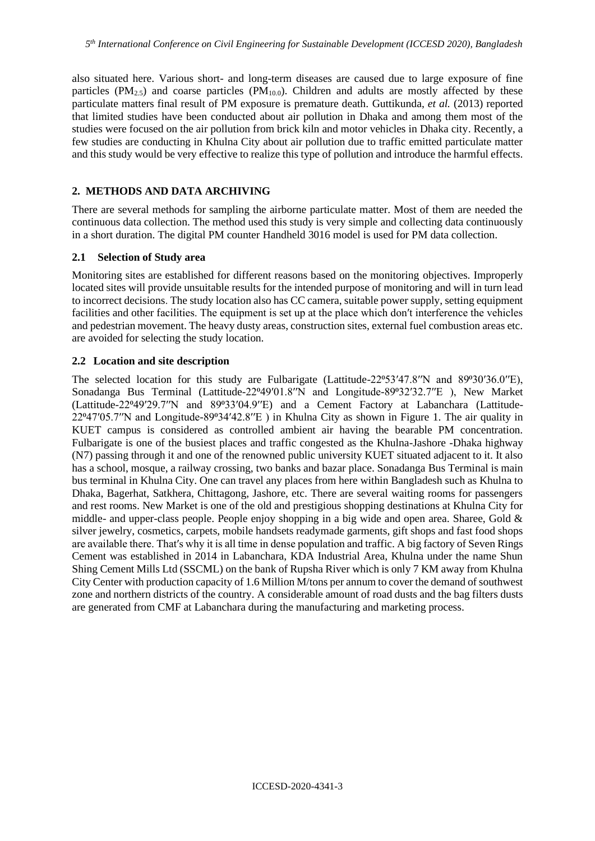also situated here. Various short- and long-term diseases are caused due to large exposure of fine particles ( $PM_{2.5}$ ) and coarse particles ( $PM_{10.0}$ ). Children and adults are mostly affected by these particulate matters final result of PM exposure is premature death. Guttikunda, *et al.* (2013) reported that limited studies have been conducted about air pollution in Dhaka and among them most of the studies were focused on the air pollution from brick kiln and motor vehicles in Dhaka city. Recently, a few studies are conducting in Khulna City about air pollution due to traffic emitted particulate matter and this study would be very effective to realize this type of pollution and introduce the harmful effects.

# **2. METHODS AND DATA ARCHIVING**

There are several methods for sampling the airborne particulate matter. Most of them are needed the continuous data collection. The method used this study is very simple and collecting data continuously in a short duration. The digital PM counter Handheld 3016 model is used for PM data collection.

## **2.1 Selection of Study area**

Monitoring sites are established for different reasons based on the monitoring objectives. Improperly located sites will provide unsuitable results for the intended purpose of monitoring and will in turn lead to incorrect decisions. The study location also has CC camera, suitable power supply, setting equipment facilities and other facilities. The equipment is set up at the place which don′t interference the vehicles and pedestrian movement. The heavy dusty areas, construction sites, external fuel combustion areas etc. are avoided for selecting the study location.

## **2.2 Location and site description**

The selected location for this study are Fulbarigate (Lattitude-22 $953'47.8''N$  and  $89^030'36.0''E$ ), Sonadanga Bus Terminal (Lattitude-22°49'01.8'N and Longitude-89°32'32.7"E ), New Market (Lattitude-22⁰49′29.7′′N and 89⁰33′04.9′′E) and a Cement Factory at Labanchara (Lattitude- $22^{\circ}47'05.7''$ N and Longitude-89°34′42.8′′E) in Khulna City as shown in Figure 1. The air quality in KUET campus is considered as controlled ambient air having the bearable PM concentration. Fulbarigate is one of the busiest places and traffic congested as the Khulna-Jashore -Dhaka highway (N7) passing through it and one of the renowned public university KUET situated adjacent to it. It also has a school, mosque, a railway crossing, two banks and bazar place. Sonadanga Bus Terminal is main bus terminal in Khulna City. One can travel any places from here within Bangladesh such as Khulna to Dhaka, Bagerhat, Satkhera, Chittagong, Jashore, etc. There are several waiting rooms for passengers and rest rooms. New Market is one of the old and prestigious shopping destinations at Khulna City for middle- and upper-class people. People enjoy shopping in a big wide and open area. Sharee, Gold & silver jewelry, cosmetics, carpets, mobile handsets readymade garments, gift shops and fast food shops are available there. That′s why it is all time in dense population and traffic. A big factory of Seven Rings Cement was established in 2014 in Labanchara, KDA Industrial Area, Khulna under the name Shun Shing Cement Mills Ltd (SSCML) on the bank of Rupsha River which is only 7 KM away from Khulna City Center with production capacity of 1.6 Million M/tons per annum to cover the demand of southwest zone and northern districts of the country. A considerable amount of road dusts and the bag filters dusts are generated from CMF at Labanchara during the manufacturing and marketing process.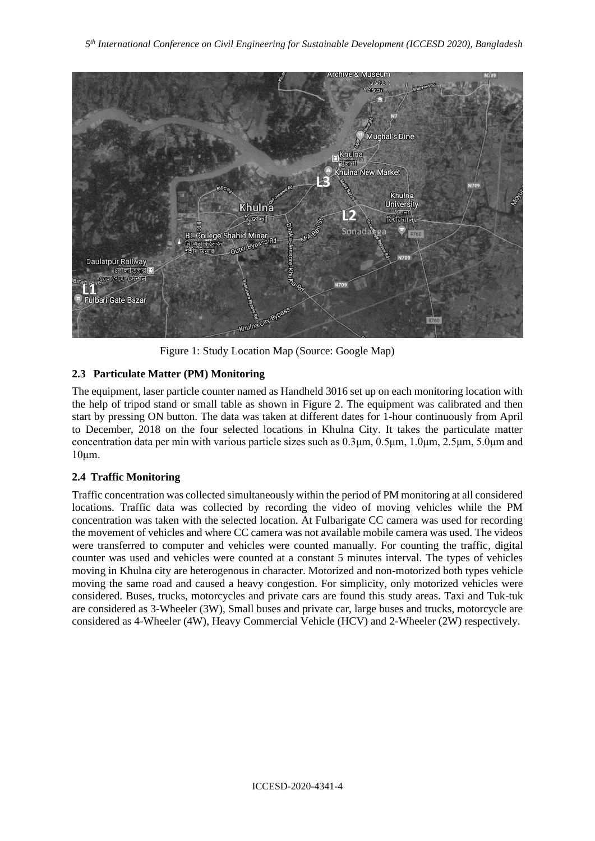

Figure 1: Study Location Map (Source: Google Map)

# **2.3 Particulate Matter (PM) Monitoring**

The equipment, laser particle counter named as Handheld 3016 set up on each monitoring location with the help of tripod stand or small table as shown in Figure 2. The equipment was calibrated and then start by pressing ON button. The data was taken at different dates for 1-hour continuously from April to December, 2018 on the four selected locations in Khulna City. It takes the particulate matter concentration data per min with various particle sizes such as 0.3μm, 0.5μm, 1.0μm, 2.5μm, 5.0μm and 10μm.

# **2.4 Traffic Monitoring**

Traffic concentration was collected simultaneously within the period of PM monitoring at all considered locations. Traffic data was collected by recording the video of moving vehicles while the PM concentration was taken with the selected location. At Fulbarigate CC camera was used for recording the movement of vehicles and where CC camera was not available mobile camera was used. The videos were transferred to computer and vehicles were counted manually. For counting the traffic, digital counter was used and vehicles were counted at a constant 5 minutes interval. The types of vehicles moving in Khulna city are heterogenous in character. Motorized and non-motorized both types vehicle moving the same road and caused a heavy congestion. For simplicity, only motorized vehicles were considered. Buses, trucks, motorcycles and private cars are found this study areas. Taxi and Tuk-tuk are considered as 3-Wheeler (3W), Small buses and private car, large buses and trucks, motorcycle are considered as 4-Wheeler (4W), Heavy Commercial Vehicle (HCV) and 2-Wheeler (2W) respectively.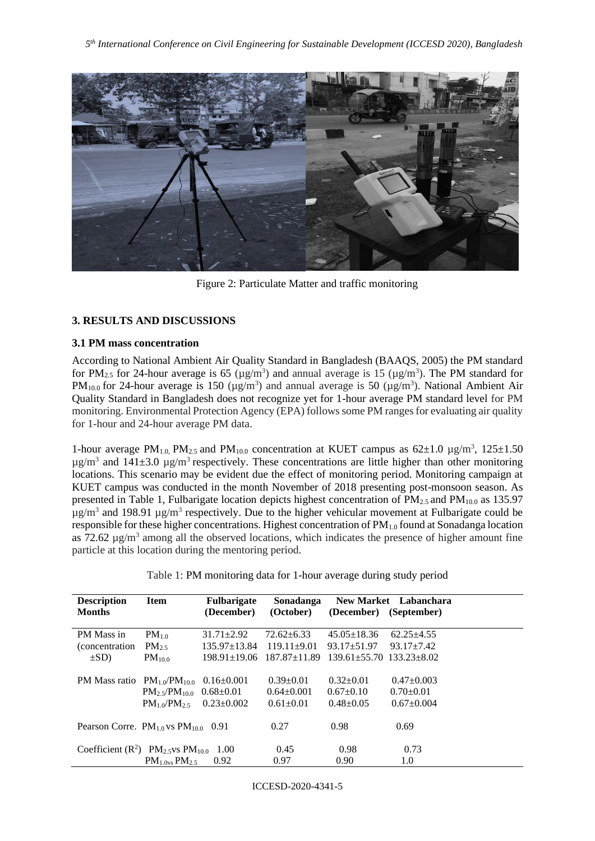

Figure 2: Particulate Matter and traffic monitoring

# **3. RESULTS AND DISCUSSIONS**

# **3.1 PM mass concentration**

According to National Ambient Air Quality Standard in Bangladesh (BAAQS, 2005) the PM standard for PM<sub>2.5</sub> for 24-hour average is 65 ( $\mu$ g/m<sup>3</sup>) and annual average is 15 ( $\mu$ g/m<sup>3</sup>). The PM standard for PM<sub>10.0</sub> for 24-hour average is 150 ( $\mu$ g/m<sup>3</sup>) and annual average is 50 ( $\mu$ g/m<sup>3</sup>). National Ambient Air Quality Standard in Bangladesh does not recognize yet for 1-hour average PM standard level for PM monitoring. Environmental Protection Agency (EPA) follows some PM ranges for evaluating air quality for 1-hour and 24-hour average PM data.

1-hour average PM<sub>1.0</sub>, PM<sub>2.5</sub> and PM<sub>10.0</sub> concentration at KUET campus as  $62\pm1.0 \text{ }\mu\text{g/m}^3$ ,  $125\pm1.50$  $\mu$ g/m<sup>3</sup> and 141 $\pm$ 3.0  $\mu$ g/m<sup>3</sup> respectively. These concentrations are little higher than other monitoring locations. This scenario may be evident due the effect of monitoring period. Monitoring campaign at KUET campus was conducted in the month November of 2018 presenting post-monsoon season. As presented in Table 1, Fulbarigate location depicts highest concentration of  $PM_{2.5}$  and  $PM_{10.0}$  as 135.97  $\mu$ g/m<sup>3</sup> and 198.91  $\mu$ g/m<sup>3</sup> respectively. Due to the higher vehicular movement at Fulbarigate could be responsible for these higher concentrations. Highest concentration of PM1.0 found at Sonadanga location as  $72.62 \mu g/m^3$  among all the observed locations, which indicates the presence of higher amount fine particle at this location during the mentoring period.

|  | Table 1: PM monitoring data for 1-hour average during study period |  |
|--|--------------------------------------------------------------------|--|

| <b>Description</b><br><b>Months</b>                                             | <b>Item</b>                                      | <b>Fulbarigate</b><br>(December) | Sonadanga<br>(October) | (December)                       | New Market Labanchara<br>(September) |
|---------------------------------------------------------------------------------|--------------------------------------------------|----------------------------------|------------------------|----------------------------------|--------------------------------------|
| PM Mass in                                                                      | $PM_{1,0}$                                       | $31.71 + 2.92$                   | $72.62 \pm 6.33$       | $45.05 \pm 18.36$                | $62.25 + 4.55$                       |
| <i>(concentration)</i>                                                          | $PM_{2.5}$                                       | $135.97 \pm 13.84$               | $119.11+9.01$          | $93.17 + 51.97$                  | $93.17 + 7.42$                       |
| $\pm SD$ )                                                                      | PM <sub>10.0</sub>                               | $198.91 \pm 19.06$               | $187.87 \pm 11.89$     | $139.61 + 55.70$ $133.23 + 8.02$ |                                      |
|                                                                                 |                                                  |                                  |                        |                                  |                                      |
| PM Mass ratio $PM_{10}/PM_{100}$                                                |                                                  | $0.16 \pm 0.001$                 | $0.39 \pm 0.01$        | $0.32+0.01$                      | $0.47+0.003$                         |
|                                                                                 | $PM_2$ <sub>5</sub> /PM <sub>100</sub> 0.68±0.01 |                                  | $0.64 \pm 0.001$       | $0.67 \pm 0.10$                  | $0.70 \pm 0.01$                      |
|                                                                                 | $PM_1 \triangle P M_2$                           | $0.23 \pm 0.002$                 | $0.61 \pm 0.01$        | $0.48 + 0.05$                    | $0.67+0.004$                         |
| Pearson Corre. $PM_{10}$ vs $PM_{100}$ 0.91                                     |                                                  |                                  | 0.27                   | 0.98                             | 0.69                                 |
| Coefficient ( $\mathbb{R}^2$ ) $\mathbb{P}M_{2.5}$ vs $\mathbb{P}M_{10.0}$ 1.00 |                                                  |                                  | 0.45                   | 0.98                             | 0.73                                 |
|                                                                                 | PM <sub>1.0vs</sub> PM <sub>2.5</sub>            | 0.92                             | 0.97                   | 0.90                             | 1.0                                  |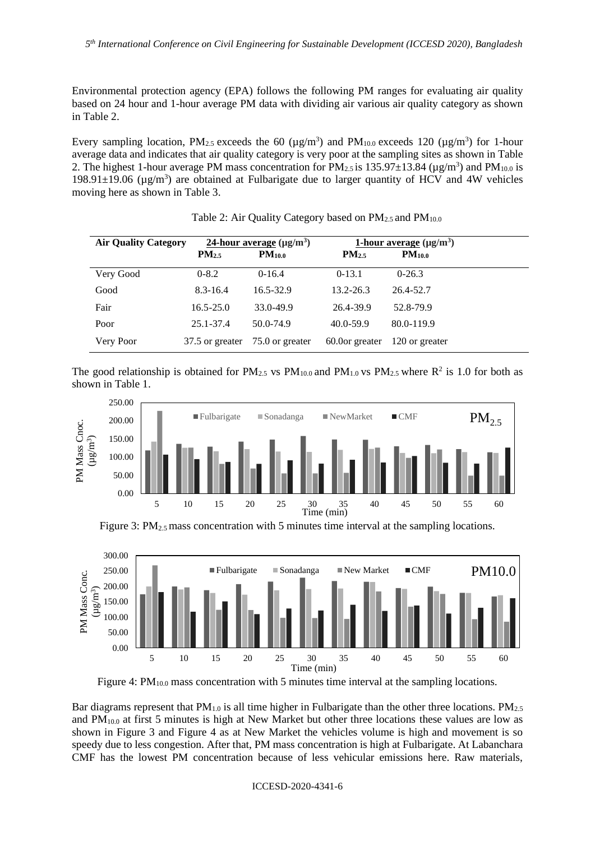Environmental protection agency (EPA) follows the following PM ranges for evaluating air quality based on 24 hour and 1-hour average PM data with dividing air various air quality category as shown in Table 2.

Every sampling location, PM<sub>2.5</sub> exceeds the 60 ( $\mu$ g/m<sup>3</sup>) and PM<sub>10.0</sub> exceeds 120 ( $\mu$ g/m<sup>3</sup>) for 1-hour average data and indicates that air quality category is very poor at the sampling sites as shown in Table 2. The highest 1-hour average PM mass concentration for  $PM_{2.5}$  is 135.97 $\pm$ 13.84 ( $\mu$ g/m<sup>3</sup>) and PM<sub>10.0</sub> is 198.91 $\pm$ 19.06 (µg/m<sup>3</sup>) are obtained at Fulbarigate due to larger quantity of HCV and 4W vehicles moving here as shown in Table 3.

| <b>Air Quality Category</b> |                   | 24-hour average $(\mu g/m^3)$ |                   | 1-hour average $(\mu g/m^3)$ |
|-----------------------------|-------------------|-------------------------------|-------------------|------------------------------|
|                             | PM <sub>2.5</sub> | PM <sub>10.0</sub>            | PM <sub>2.5</sub> | PM <sub>10.0</sub>           |
| Very Good                   | $0 - 8.2$         | $0-16.4$                      | $0-13.1$          | $0-26.3$                     |
| Good                        | $8.3 - 16.4$      | $16.5 - 32.9$                 | $13.2 - 26.3$     | 26.4-52.7                    |
| Fair                        | $16.5 - 25.0$     | 33.0-49.9                     | 26.4-39.9         | 52.8-79.9                    |
| Poor                        | $25.1 - 37.4$     | 50.0-74.9                     | $40.0 - 59.9$     | 80.0-119.9                   |
| Very Poor                   | 37.5 or greater   | 75.0 or greater               | 60.0 or greater   | 120 or greater               |

#### Table 2: Air Quality Category based on  $PM_{2.5}$  and  $PM_{10.0}$

The good relationship is obtained for  $PM_{2.5}$  vs  $PM_{10.0}$  and  $PM_{1.0}$  vs  $PM_{2.5}$  where  $R^2$  is 1.0 for both as shown in Table 1.







Figure 4:  $PM<sub>10.0</sub>$  mass concentration with 5 minutes time interval at the sampling locations.

Bar diagrams represent that  $PM<sub>1.0</sub>$  is all time higher in Fulbarigate than the other three locations.  $PM<sub>2.5</sub>$ and  $PM<sub>10.0</sub>$  at first 5 minutes is high at New Market but other three locations these values are low as shown in Figure 3 and Figure 4 as at New Market the vehicles volume is high and movement is so speedy due to less congestion. After that, PM mass concentration is high at Fulbarigate. At Labanchara CMF has the lowest PM concentration because of less vehicular emissions here. Raw materials,

ICCESD-2020-4341-6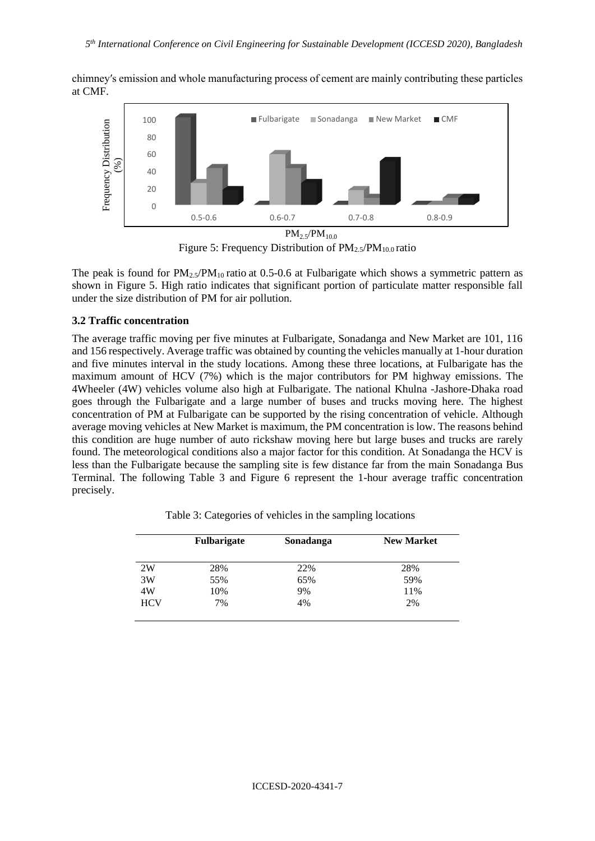chimney′s emission and whole manufacturing process of cement are mainly contributing these particles at CMF.



Figure 5: Frequency Distribution of  $PM_{2.5}/PM_{10.0}$  ratio

The peak is found for  $PM_{2.5}/PM_{10}$  ratio at 0.5-0.6 at Fulbarigate which shows a symmetric pattern as shown in Figure 5. High ratio indicates that significant portion of particulate matter responsible fall under the size distribution of PM for air pollution.

## **3.2 Traffic concentration**

The average traffic moving per five minutes at Fulbarigate, Sonadanga and New Market are 101, 116 and 156 respectively. Average traffic was obtained by counting the vehicles manually at 1-hour duration and five minutes interval in the study locations. Among these three locations, at Fulbarigate has the maximum amount of HCV (7%) which is the major contributors for PM highway emissions. The 4Wheeler (4W) vehicles volume also high at Fulbarigate. The national Khulna -Jashore-Dhaka road goes through the Fulbarigate and a large number of buses and trucks moving here. The highest concentration of PM at Fulbarigate can be supported by the rising concentration of vehicle. Although average moving vehicles at New Market is maximum, the PM concentration is low. The reasons behind this condition are huge number of auto rickshaw moving here but large buses and trucks are rarely found. The meteorological conditions also a major factor for this condition. At Sonadanga the HCV is less than the Fulbarigate because the sampling site is few distance far from the main Sonadanga Bus Terminal. The following Table 3 and Figure 6 represent the 1-hour average traffic concentration precisely.

|            | <b>Fulbarigate</b> | Sonadanga | <b>New Market</b> |
|------------|--------------------|-----------|-------------------|
| 2W         | 28%                | 22%       | 28%               |
| 3W         | 55%                | 65%       | 59%               |
| 4W         | 10%                | 9%        | 11%               |
| <b>HCV</b> | 7%                 | 4%        | 2%                |

Table 3: Categories of vehicles in the sampling locations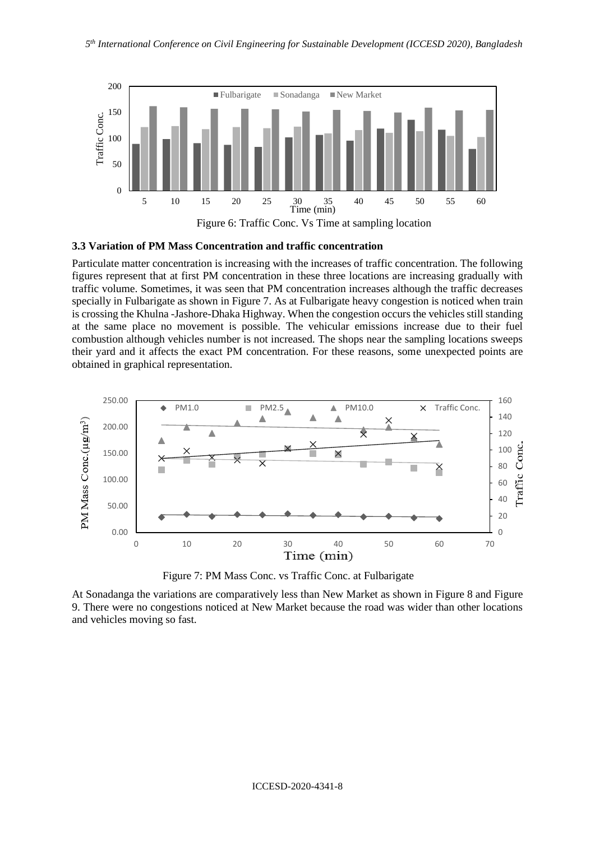

#### **3.3 Variation of PM Mass Concentration and traffic concentration**

Particulate matter concentration is increasing with the increases of traffic concentration. The following figures represent that at first PM concentration in these three locations are increasing gradually with traffic volume. Sometimes, it was seen that PM concentration increases although the traffic decreases specially in Fulbarigate as shown in Figure 7. As at Fulbarigate heavy congestion is noticed when train is crossing the Khulna -Jashore-Dhaka Highway. When the congestion occurs the vehicles still standing at the same place no movement is possible. The vehicular emissions increase due to their fuel combustion although vehicles number is not increased. The shops near the sampling locations sweeps their yard and it affects the exact PM concentration. For these reasons, some unexpected points are obtained in graphical representation.



Figure 7: PM Mass Conc. vs Traffic Conc. at Fulbarigate

At Sonadanga the variations are comparatively less than New Market as shown in Figure 8 and Figure 9. There were no congestions noticed at New Market because the road was wider than other locations and vehicles moving so fast.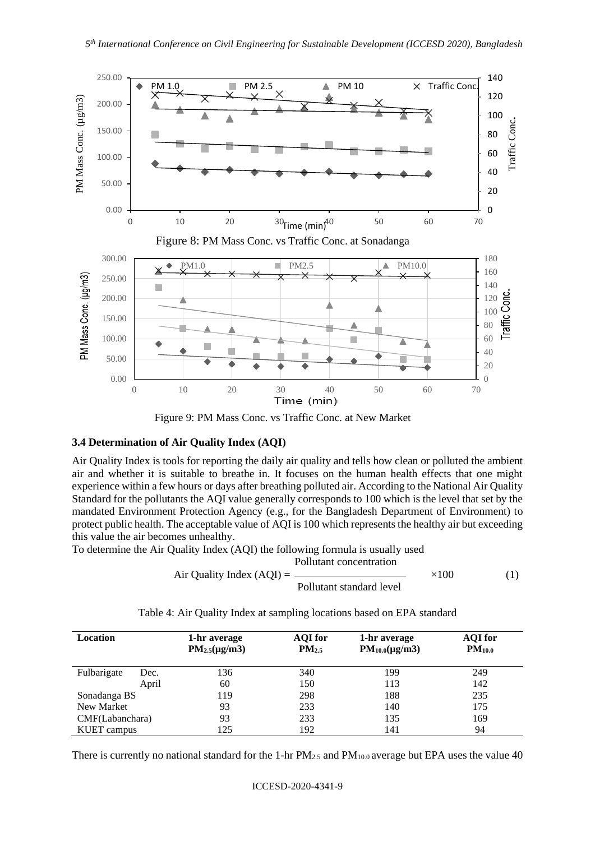

Figure 9: PM Mass Conc. vs Traffic Conc. at New Market

## **3.4 Determination of Air Quality Index (AQI)**

Air Quality Index is tools for reporting the daily air quality and tells how clean or polluted the ambient air and whether it is suitable to breathe in. It focuses on the human health effects that one might experience within a few hours or days after breathing polluted air. According to the National Air Quality Standard for the pollutants the AQI value generally corresponds to 100 which is the level that set by the mandated Environment Protection Agency (e.g., for the Bangladesh Department of Environment) to protect public health. The acceptable value of AQI is 100 which represents the healthy air but exceeding this value the air becomes unhealthy.

To determine the Air Quality Index (AQI) the following formula is usually used

Air Quality Index (AQI) = 
$$
\frac{\text{Pollutant concentration}}{\text{Pollutant standard level}} \times 100
$$
 (1)

| <b>Location</b>    |       | 1-hr average<br>$PM_{2.5}(\mu g/m3)$ | <b>AQI</b> for<br>$PM_{2.5}$ | 1-hr average<br>$PM_{10.0}(\mu g/m3)$ | <b>AQI</b> for<br>PM <sub>10.0</sub> |
|--------------------|-------|--------------------------------------|------------------------------|---------------------------------------|--------------------------------------|
| Fulbarigate        | Dec.  | 136                                  | 340                          | 199                                   | 249                                  |
|                    | April | 60                                   | 150                          | 113                                   | 142                                  |
| Sonadanga BS       |       | 119                                  | 298                          | 188                                   | 235                                  |
| New Market         |       | 93                                   | 233                          | 140                                   | 175                                  |
| CMF(Labanchara)    |       | 93                                   | 233                          | 135                                   | 169                                  |
| <b>KUET</b> campus |       | 125                                  | 192                          | 141                                   | 94                                   |

Table 4: Air Quality Index at sampling locations based on EPA standard

There is currently no national standard for the 1-hr  $PM_{2.5}$  and  $PM_{10.0}$  average but EPA uses the value 40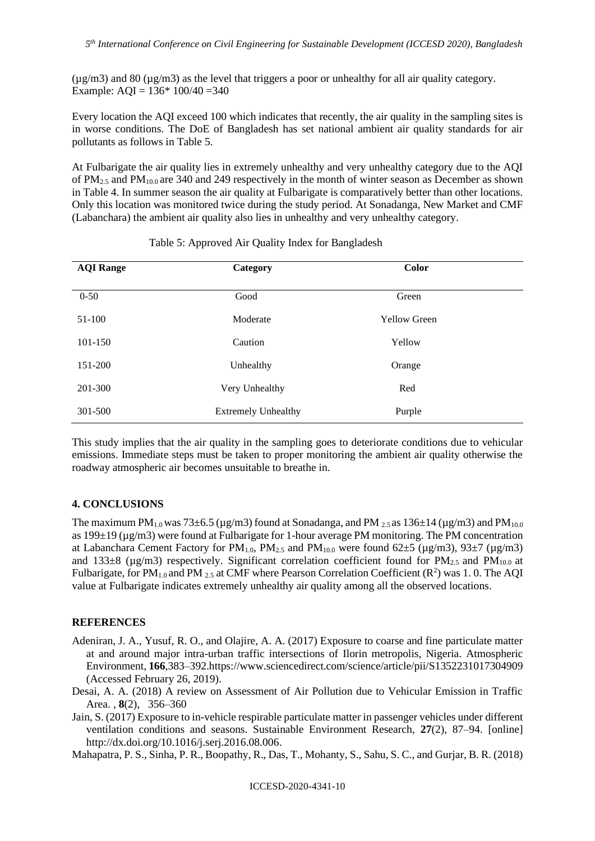$(\mu g/m3)$  and 80 ( $\mu g/m3$ ) as the level that triggers a poor or unhealthy for all air quality category. Example: AQI =  $136*100/40 = 340$ 

Every location the AQI exceed 100 which indicates that recently, the air quality in the sampling sites is in worse conditions. The DoE of Bangladesh has set national ambient air quality standards for air pollutants as follows in Table 5.

At Fulbarigate the air quality lies in extremely unhealthy and very unhealthy category due to the AQI of  $PM_{2.5}$  and  $PM_{10.0}$  are 340 and 249 respectively in the month of winter season as December as shown in Table 4. In summer season the air quality at Fulbarigate is comparatively better than other locations. Only this location was monitored twice during the study period. At Sonadanga, New Market and CMF (Labanchara) the ambient air quality also lies in unhealthy and very unhealthy category.

| <b>AQI Range</b> | Category                   | Color               |  |
|------------------|----------------------------|---------------------|--|
|                  |                            |                     |  |
| $0 - 50$         | Good                       | Green               |  |
| 51-100           | Moderate                   | <b>Yellow Green</b> |  |
| 101-150          | Caution                    | Yellow              |  |
|                  |                            |                     |  |
| 151-200          | Unhealthy                  | Orange              |  |
| 201-300          | Very Unhealthy             | Red                 |  |
|                  |                            |                     |  |
| 301-500          | <b>Extremely Unhealthy</b> | Purple              |  |

#### Table 5: Approved Air Quality Index for Bangladesh

This study implies that the air quality in the sampling goes to deteriorate conditions due to vehicular emissions. Immediate steps must be taken to proper monitoring the ambient air quality otherwise the roadway atmospheric air becomes unsuitable to breathe in.

#### **4. CONCLUSIONS**

The maximum PM<sub>1.0</sub> was 73 $\pm$ 6.5 (µg/m3) found at Sonadanga, and PM  $_{2.5}$  as 136 $\pm$ 14 (µg/m3) and PM<sub>10.0</sub> as 199±19 (µg/m3) were found at Fulbarigate for 1-hour average PM monitoring. The PM concentration at Labanchara Cement Factory for  $PM_{1,0}$ ,  $PM_{2,5}$  and  $PM_{10,0}$  were found 62 $\pm$ 5 ( $\mu$ g/m3), 93 $\pm$ 7 ( $\mu$ g/m3) and 133 $\pm$ 8 ( $\mu$ g/m3) respectively. Significant correlation coefficient found for PM<sub>2.5</sub> and PM<sub>10.0</sub> at Fulbarigate, for PM<sub>1.0</sub> and PM  $_{2.5}$  at CMF where Pearson Correlation Coefficient ( $\mathbb{R}^2$ ) was 1.0. The AQI value at Fulbarigate indicates extremely unhealthy air quality among all the observed locations.

#### **REFERENCES**

- Adeniran, J. A., Yusuf, R. O., and Olajire, A. A. (2017) Exposure to coarse and fine particulate matter at and around major intra-urban traffic intersections of Ilorin metropolis, Nigeria. Atmospheric Environment, **166**,383–392.https://www.sciencedirect.com/science/article/pii/S1352231017304909 (Accessed February 26, 2019).
- Desai, A. A. (2018) A review on Assessment of Air Pollution due to Vehicular Emission in Traffic Area. , **8**(2), 356–360
- Jain, S. (2017) Exposure to in-vehicle respirable particulate matter in passenger vehicles under different ventilation conditions and seasons. Sustainable Environment Research, **27**(2), 87–94. [online] [http://dx.doi.org/10.1016/j.serj.2016.08.006.](http://dx.doi.org/10.1016/j.serj.2016.08.006)

Mahapatra, P. S., Sinha, P. R., Boopathy, R., Das, T., Mohanty, S., Sahu, S. C., and Gurjar, B. R. (2018)